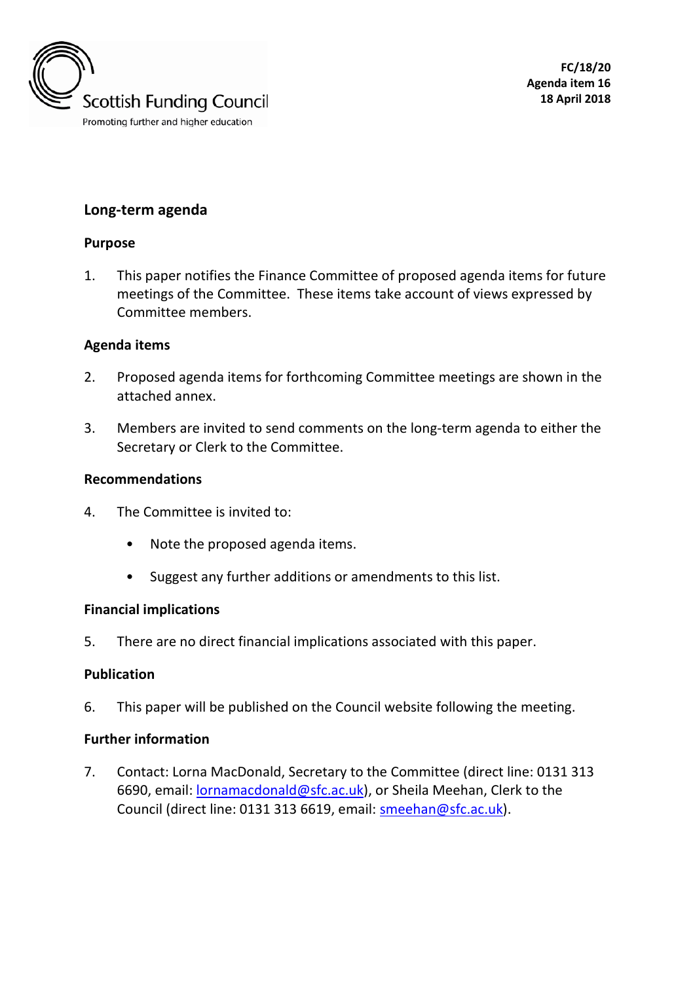

**FC/18/20 Agenda item 16 18 April 2018**

# **Long-term agenda**

## **Purpose**

1. This paper notifies the Finance Committee of proposed agenda items for future meetings of the Committee. These items take account of views expressed by Committee members.

## **Agenda items**

- 2. Proposed agenda items for forthcoming Committee meetings are shown in the attached annex.
- 3. Members are invited to send comments on the long-term agenda to either the Secretary or Clerk to the Committee.

#### **Recommendations**

- 4. The Committee is invited to:
	- Note the proposed agenda items.
	- Suggest any further additions or amendments to this list.

## **Financial implications**

5. There are no direct financial implications associated with this paper.

## **Publication**

6. This paper will be published on the Council website following the meeting.

## **Further information**

7. Contact: Lorna MacDonald, Secretary to the Committee (direct line: 0131 313 6690, email: [lornamacdonald@sfc.ac.uk\)](mailto:lornamacdonald@sfc.ac.uk), or Sheila Meehan, Clerk to the Council (direct line: 0131 313 6619, email: [smeehan@sfc.ac.uk\)](mailto:smeehan@sfc.ac.uk).